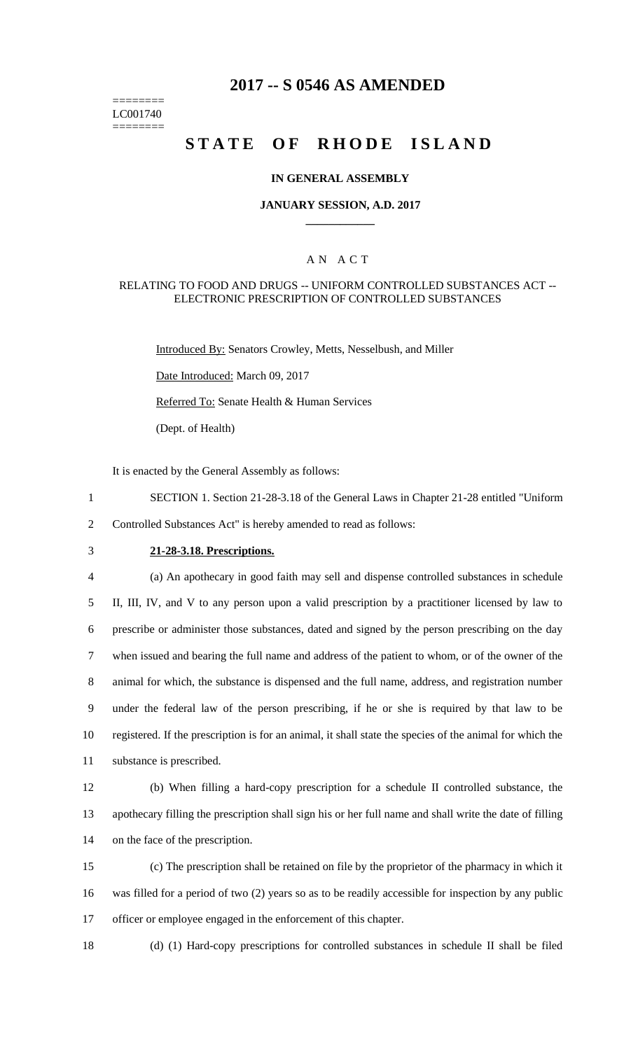# **2017 -- S 0546 AS AMENDED**

======== LC001740 ========

# **STATE OF RHODE ISLAND**

### **IN GENERAL ASSEMBLY**

#### **JANUARY SESSION, A.D. 2017 \_\_\_\_\_\_\_\_\_\_\_\_**

### A N A C T

#### RELATING TO FOOD AND DRUGS -- UNIFORM CONTROLLED SUBSTANCES ACT -- ELECTRONIC PRESCRIPTION OF CONTROLLED SUBSTANCES

Introduced By: Senators Crowley, Metts, Nesselbush, and Miller

Date Introduced: March 09, 2017

Referred To: Senate Health & Human Services

(Dept. of Health)

It is enacted by the General Assembly as follows:

1 SECTION 1. Section 21-28-3.18 of the General Laws in Chapter 21-28 entitled "Uniform 2 Controlled Substances Act" is hereby amended to read as follows:

# 3 **21-28-3.18. Prescriptions.**

 (a) An apothecary in good faith may sell and dispense controlled substances in schedule II, III, IV, and V to any person upon a valid prescription by a practitioner licensed by law to prescribe or administer those substances, dated and signed by the person prescribing on the day when issued and bearing the full name and address of the patient to whom, or of the owner of the animal for which, the substance is dispensed and the full name, address, and registration number under the federal law of the person prescribing, if he or she is required by that law to be registered. If the prescription is for an animal, it shall state the species of the animal for which the substance is prescribed.

12 (b) When filling a hard-copy prescription for a schedule II controlled substance, the 13 apothecary filling the prescription shall sign his or her full name and shall write the date of filling 14 on the face of the prescription.

15 (c) The prescription shall be retained on file by the proprietor of the pharmacy in which it 16 was filled for a period of two (2) years so as to be readily accessible for inspection by any public 17 officer or employee engaged in the enforcement of this chapter.

18 (d) (1) Hard-copy prescriptions for controlled substances in schedule II shall be filed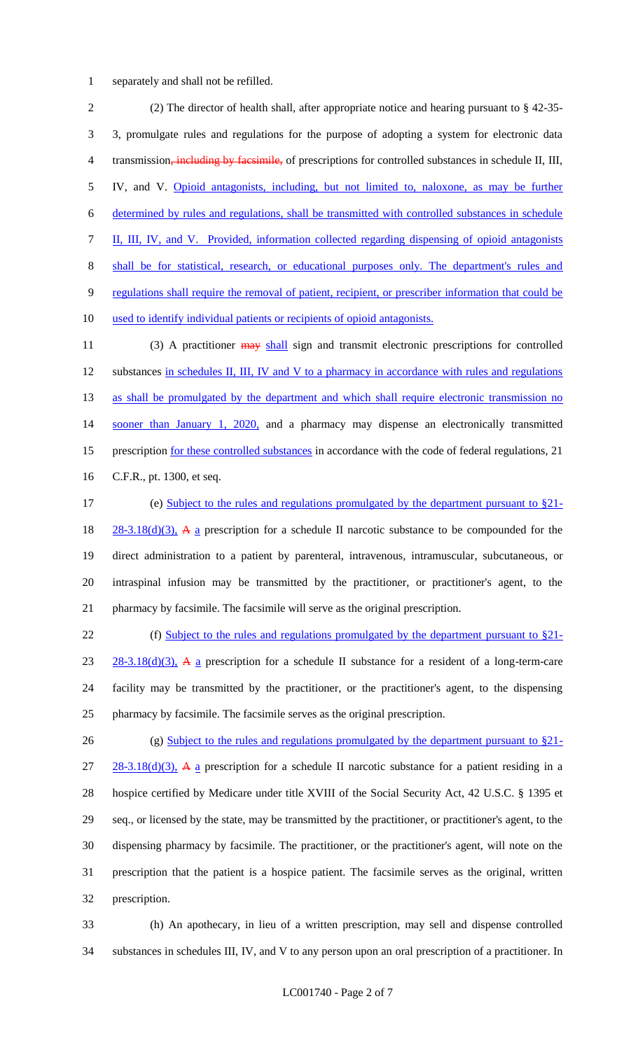separately and shall not be refilled.

 (2) The director of health shall, after appropriate notice and hearing pursuant to § 42-35- 3, promulgate rules and regulations for the purpose of adopting a system for electronic data 4 transmission, including by facsimile, of prescriptions for controlled substances in schedule II, III, IV, and V. Opioid antagonists, including, but not limited to, naloxone, as may be further determined by rules and regulations, shall be transmitted with controlled substances in schedule II, III, IV, and V. Provided, information collected regarding dispensing of opioid antagonists shall be for statistical, research, or educational purposes only. The department's rules and regulations shall require the removal of patient, recipient, or prescriber information that could be used to identify individual patients or recipients of opioid antagonists.

11 (3) A practitioner  $\frac{1}{2}$  and transmit electronic prescriptions for controlled 12 substances in schedules II, III, IV and V to a pharmacy in accordance with rules and regulations 13 as shall be promulgated by the department and which shall require electronic transmission no 14 sooner than January 1, 2020, and a pharmacy may dispense an electronically transmitted 15 prescription for these controlled substances in accordance with the code of federal regulations, 21 C.F.R., pt. 1300, et seq.

 (e) Subject to the rules and regulations promulgated by the department pursuant to §21-  $28-3.18(d)(3)$ , A a prescription for a schedule II narcotic substance to be compounded for the direct administration to a patient by parenteral, intravenous, intramuscular, subcutaneous, or intraspinal infusion may be transmitted by the practitioner, or practitioner's agent, to the pharmacy by facsimile. The facsimile will serve as the original prescription.

22 (f) Subject to the rules and regulations promulgated by the department pursuant to §21-23 28-3.18(d)(3), A a prescription for a schedule II substance for a resident of a long-term-care facility may be transmitted by the practitioner, or the practitioner's agent, to the dispensing pharmacy by facsimile. The facsimile serves as the original prescription.

26 (g) Subject to the rules and regulations promulgated by the department pursuant to §21- $27 \quad 28-3.18(d)(3)$ , A a prescription for a schedule II narcotic substance for a patient residing in a hospice certified by Medicare under title XVIII of the Social Security Act, 42 U.S.C. § 1395 et seq., or licensed by the state, may be transmitted by the practitioner, or practitioner's agent, to the dispensing pharmacy by facsimile. The practitioner, or the practitioner's agent, will note on the prescription that the patient is a hospice patient. The facsimile serves as the original, written prescription.

 (h) An apothecary, in lieu of a written prescription, may sell and dispense controlled substances in schedules III, IV, and V to any person upon an oral prescription of a practitioner. In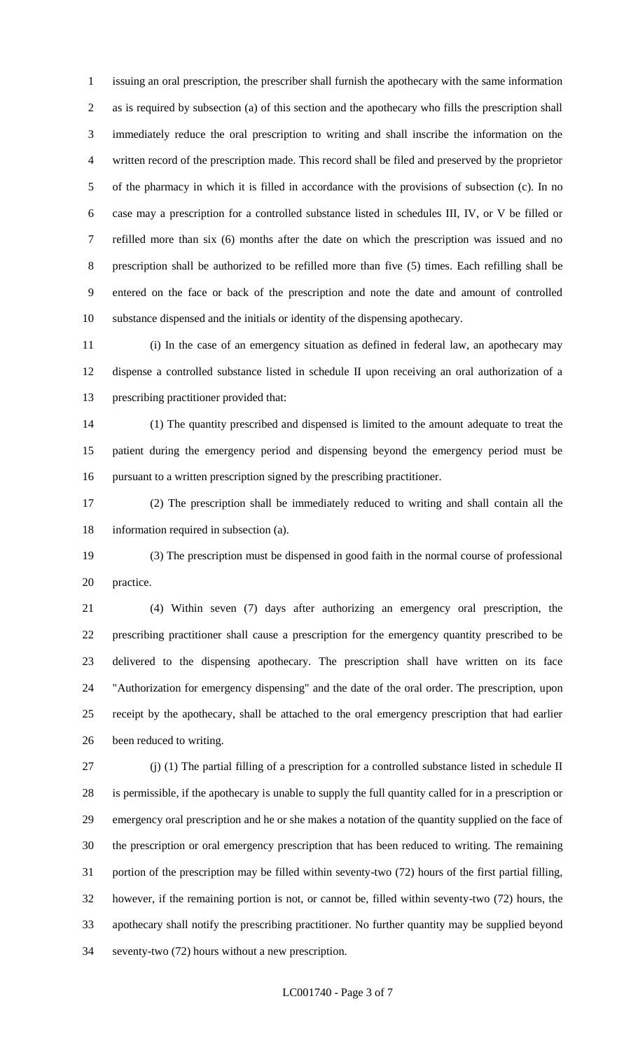issuing an oral prescription, the prescriber shall furnish the apothecary with the same information as is required by subsection (a) of this section and the apothecary who fills the prescription shall immediately reduce the oral prescription to writing and shall inscribe the information on the written record of the prescription made. This record shall be filed and preserved by the proprietor of the pharmacy in which it is filled in accordance with the provisions of subsection (c). In no case may a prescription for a controlled substance listed in schedules III, IV, or V be filled or refilled more than six (6) months after the date on which the prescription was issued and no prescription shall be authorized to be refilled more than five (5) times. Each refilling shall be entered on the face or back of the prescription and note the date and amount of controlled substance dispensed and the initials or identity of the dispensing apothecary.

 (i) In the case of an emergency situation as defined in federal law, an apothecary may dispense a controlled substance listed in schedule II upon receiving an oral authorization of a prescribing practitioner provided that:

 (1) The quantity prescribed and dispensed is limited to the amount adequate to treat the patient during the emergency period and dispensing beyond the emergency period must be pursuant to a written prescription signed by the prescribing practitioner.

 (2) The prescription shall be immediately reduced to writing and shall contain all the information required in subsection (a).

 (3) The prescription must be dispensed in good faith in the normal course of professional practice.

 (4) Within seven (7) days after authorizing an emergency oral prescription, the prescribing practitioner shall cause a prescription for the emergency quantity prescribed to be delivered to the dispensing apothecary. The prescription shall have written on its face "Authorization for emergency dispensing" and the date of the oral order. The prescription, upon receipt by the apothecary, shall be attached to the oral emergency prescription that had earlier been reduced to writing.

 (j) (1) The partial filling of a prescription for a controlled substance listed in schedule II is permissible, if the apothecary is unable to supply the full quantity called for in a prescription or emergency oral prescription and he or she makes a notation of the quantity supplied on the face of the prescription or oral emergency prescription that has been reduced to writing. The remaining portion of the prescription may be filled within seventy-two (72) hours of the first partial filling, however, if the remaining portion is not, or cannot be, filled within seventy-two (72) hours, the apothecary shall notify the prescribing practitioner. No further quantity may be supplied beyond seventy-two (72) hours without a new prescription.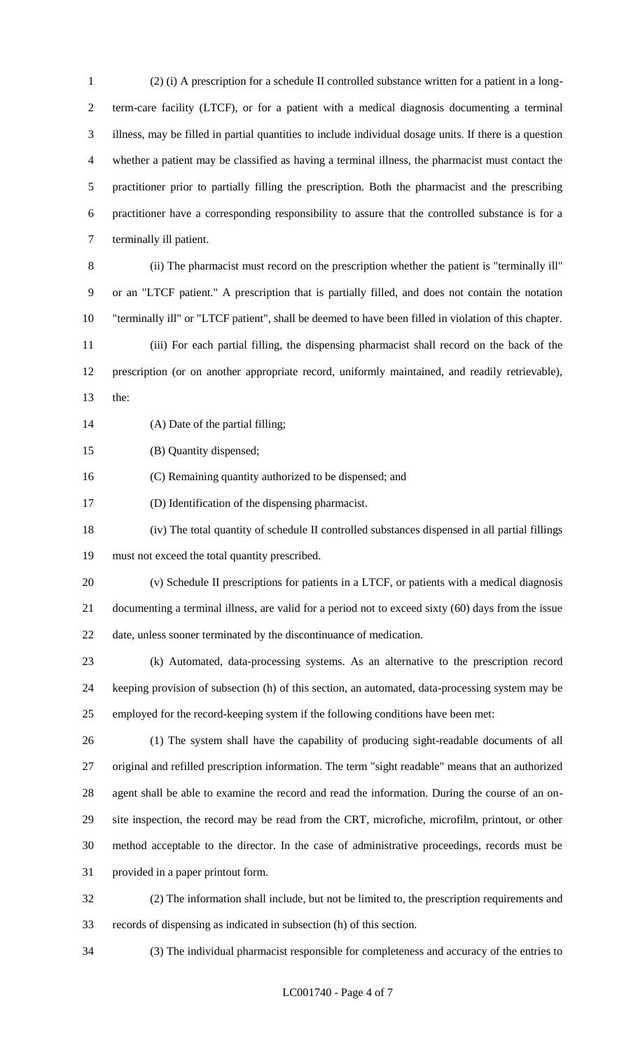(2) (i) A prescription for a schedule II controlled substance written for a patient in a long- term-care facility (LTCF), or for a patient with a medical diagnosis documenting a terminal illness, may be filled in partial quantities to include individual dosage units. If there is a question whether a patient may be classified as having a terminal illness, the pharmacist must contact the practitioner prior to partially filling the prescription. Both the pharmacist and the prescribing practitioner have a corresponding responsibility to assure that the controlled substance is for a terminally ill patient.

 (ii) The pharmacist must record on the prescription whether the patient is "terminally ill" or an "LTCF patient." A prescription that is partially filled, and does not contain the notation "terminally ill" or "LTCF patient", shall be deemed to have been filled in violation of this chapter.

 (iii) For each partial filling, the dispensing pharmacist shall record on the back of the prescription (or on another appropriate record, uniformly maintained, and readily retrievable), the:

(A) Date of the partial filling;

(B) Quantity dispensed;

(C) Remaining quantity authorized to be dispensed; and

(D) Identification of the dispensing pharmacist.

 (iv) The total quantity of schedule II controlled substances dispensed in all partial fillings must not exceed the total quantity prescribed.

 (v) Schedule II prescriptions for patients in a LTCF, or patients with a medical diagnosis documenting a terminal illness, are valid for a period not to exceed sixty (60) days from the issue date, unless sooner terminated by the discontinuance of medication.

 (k) Automated, data-processing systems. As an alternative to the prescription record keeping provision of subsection (h) of this section, an automated, data-processing system may be employed for the record-keeping system if the following conditions have been met:

 (1) The system shall have the capability of producing sight-readable documents of all original and refilled prescription information. The term "sight readable" means that an authorized agent shall be able to examine the record and read the information. During the course of an on- site inspection, the record may be read from the CRT, microfiche, microfilm, printout, or other method acceptable to the director. In the case of administrative proceedings, records must be provided in a paper printout form.

 (2) The information shall include, but not be limited to, the prescription requirements and records of dispensing as indicated in subsection (h) of this section.

(3) The individual pharmacist responsible for completeness and accuracy of the entries to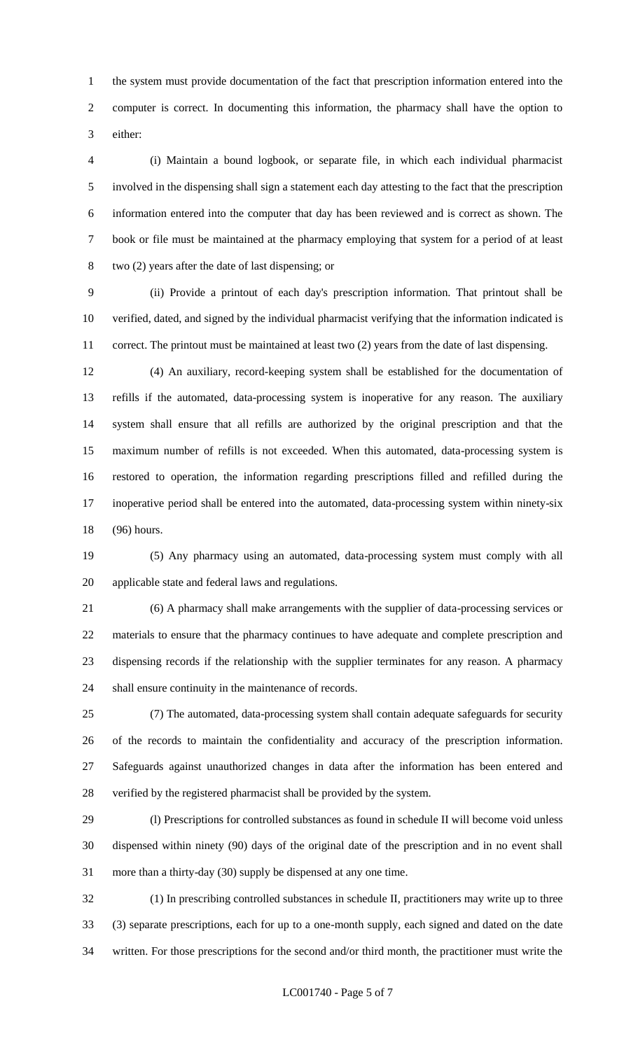the system must provide documentation of the fact that prescription information entered into the computer is correct. In documenting this information, the pharmacy shall have the option to either:

 (i) Maintain a bound logbook, or separate file, in which each individual pharmacist involved in the dispensing shall sign a statement each day attesting to the fact that the prescription information entered into the computer that day has been reviewed and is correct as shown. The book or file must be maintained at the pharmacy employing that system for a period of at least two (2) years after the date of last dispensing; or

 (ii) Provide a printout of each day's prescription information. That printout shall be verified, dated, and signed by the individual pharmacist verifying that the information indicated is correct. The printout must be maintained at least two (2) years from the date of last dispensing.

 (4) An auxiliary, record-keeping system shall be established for the documentation of refills if the automated, data-processing system is inoperative for any reason. The auxiliary system shall ensure that all refills are authorized by the original prescription and that the maximum number of refills is not exceeded. When this automated, data-processing system is restored to operation, the information regarding prescriptions filled and refilled during the inoperative period shall be entered into the automated, data-processing system within ninety-six (96) hours.

 (5) Any pharmacy using an automated, data-processing system must comply with all applicable state and federal laws and regulations.

 (6) A pharmacy shall make arrangements with the supplier of data-processing services or materials to ensure that the pharmacy continues to have adequate and complete prescription and dispensing records if the relationship with the supplier terminates for any reason. A pharmacy shall ensure continuity in the maintenance of records.

 (7) The automated, data-processing system shall contain adequate safeguards for security of the records to maintain the confidentiality and accuracy of the prescription information. Safeguards against unauthorized changes in data after the information has been entered and verified by the registered pharmacist shall be provided by the system.

 (l) Prescriptions for controlled substances as found in schedule II will become void unless dispensed within ninety (90) days of the original date of the prescription and in no event shall more than a thirty-day (30) supply be dispensed at any one time.

 (1) In prescribing controlled substances in schedule II, practitioners may write up to three (3) separate prescriptions, each for up to a one-month supply, each signed and dated on the date written. For those prescriptions for the second and/or third month, the practitioner must write the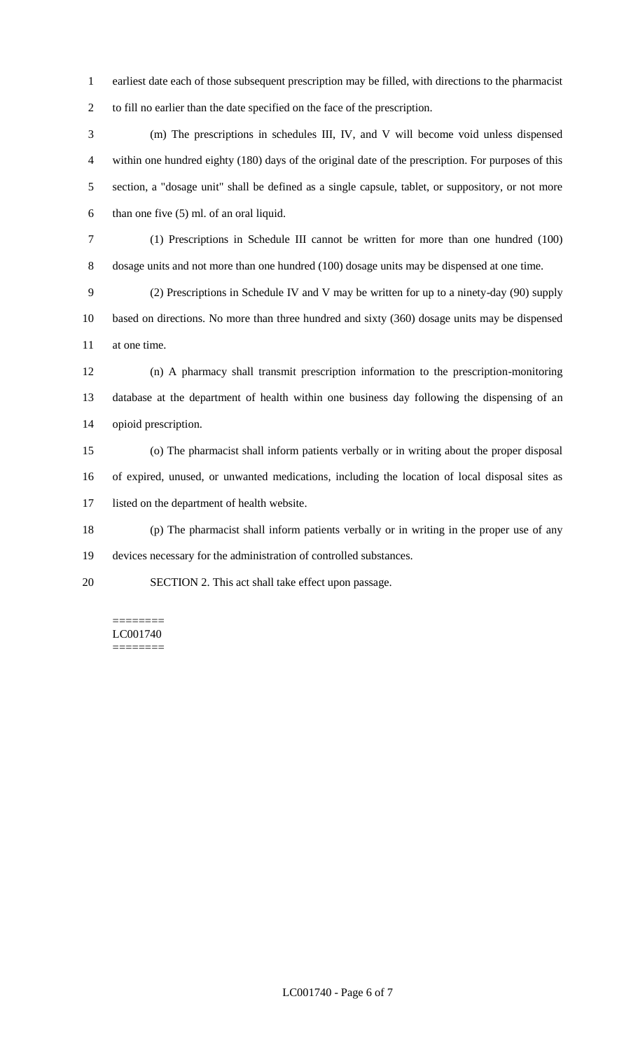- earliest date each of those subsequent prescription may be filled, with directions to the pharmacist to fill no earlier than the date specified on the face of the prescription.
- (m) The prescriptions in schedules III, IV, and V will become void unless dispensed within one hundred eighty (180) days of the original date of the prescription. For purposes of this section, a "dosage unit" shall be defined as a single capsule, tablet, or suppository, or not more than one five (5) ml. of an oral liquid.
- (1) Prescriptions in Schedule III cannot be written for more than one hundred (100) dosage units and not more than one hundred (100) dosage units may be dispensed at one time.
- (2) Prescriptions in Schedule IV and V may be written for up to a ninety-day (90) supply based on directions. No more than three hundred and sixty (360) dosage units may be dispensed at one time.
- (n) A pharmacy shall transmit prescription information to the prescription-monitoring database at the department of health within one business day following the dispensing of an opioid prescription.
- (o) The pharmacist shall inform patients verbally or in writing about the proper disposal of expired, unused, or unwanted medications, including the location of local disposal sites as listed on the department of health website.
- (p) The pharmacist shall inform patients verbally or in writing in the proper use of any devices necessary for the administration of controlled substances.
- SECTION 2. This act shall take effect upon passage.

======== LC001740 ========